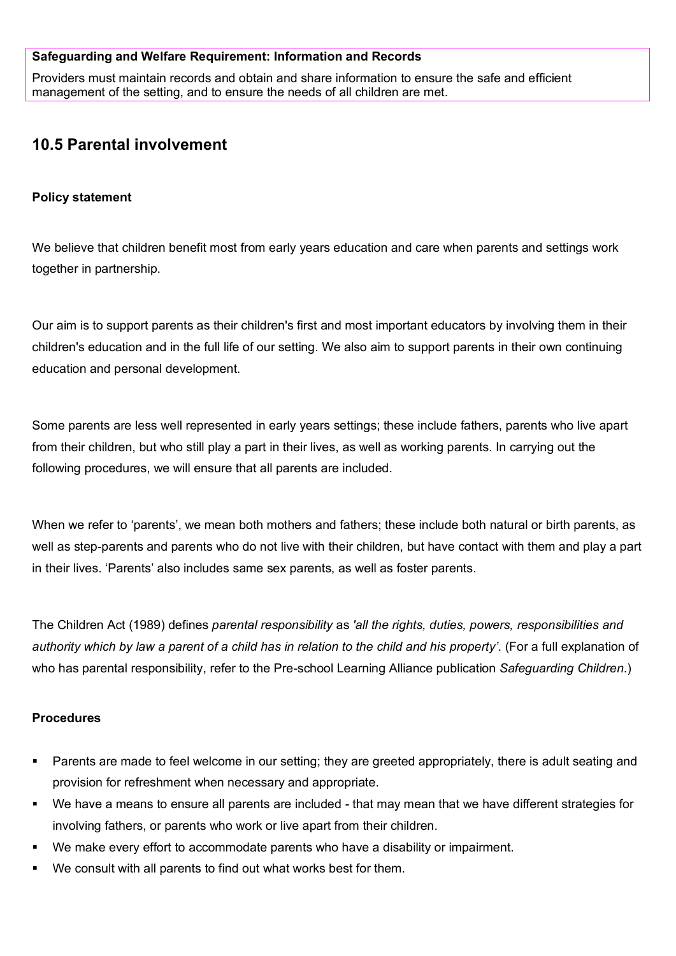#### **Safeguarding and Welfare Requirement: Information and Records**

Providers must maintain records and obtain and share information to ensure the safe and efficient management of the setting, and to ensure the needs of all children are met.

# **10.5 Parental involvement**

#### **Policy statement**

We believe that children benefit most from early years education and care when parents and settings work together in partnership.

Our aim is to support parents as their children's first and most important educators by involving them in their children's education and in the full life of our setting. We also aim to support parents in their own continuing education and personal development.

Some parents are less well represented in early years settings; these include fathers, parents who live apart from their children, but who still play a part in their lives, as well as working parents. In carrying out the following procedures, we will ensure that all parents are included.

When we refer to 'parents', we mean both mothers and fathers; these include both natural or birth parents, as well as step-parents and parents who do not live with their children, but have contact with them and play a part in their lives. 'Parents' also includes same sex parents, as well as foster parents.

The Children Act (1989) defines *parental responsibility* as *'all the rights, duties, powers, responsibilities and authority which by law a parent of a child has in relation to the child and his property'*. (For a full explanation of who has parental responsibility, refer to the Pre-school Learning Alliance publication *Safeguarding Children*.)

### **Procedures**

- Parents are made to feel welcome in our setting; they are greeted appropriately, there is adult seating and provision for refreshment when necessary and appropriate.
- We have a means to ensure all parents are included that may mean that we have different strategies for involving fathers, or parents who work or live apart from their children.
- We make every effort to accommodate parents who have a disability or impairment.
- We consult with all parents to find out what works best for them.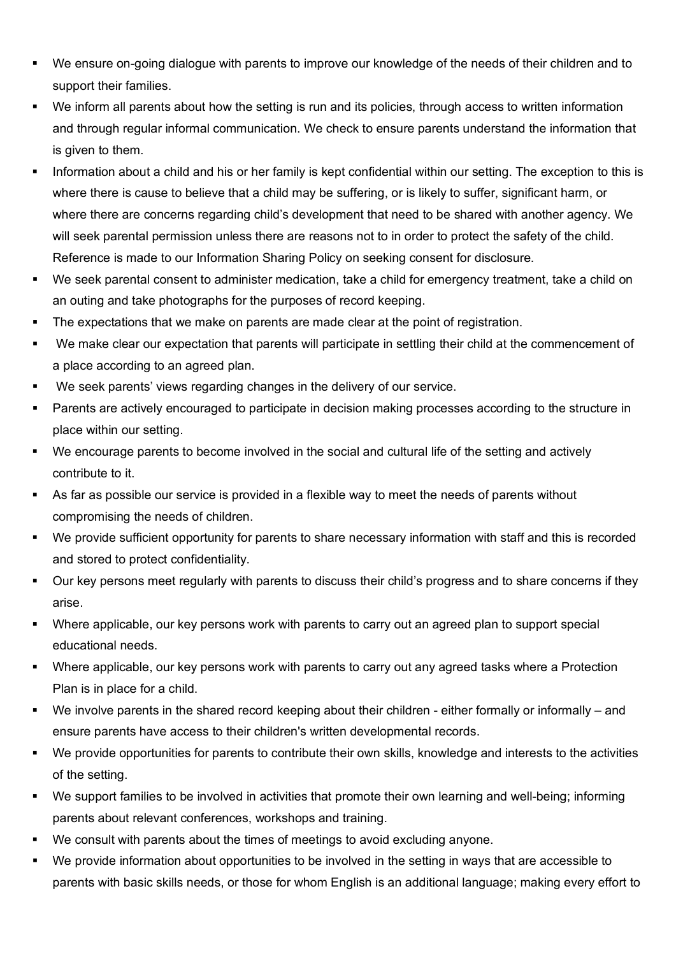- We ensure on-going dialogue with parents to improve our knowledge of the needs of their children and to support their families.
- We inform all parents about how the setting is run and its policies, through access to written information and through regular informal communication. We check to ensure parents understand the information that is given to them.
- Information about a child and his or her family is kept confidential within our setting. The exception to this is where there is cause to believe that a child may be suffering, or is likely to suffer, significant harm, or where there are concerns regarding child's development that need to be shared with another agency. We will seek parental permission unless there are reasons not to in order to protect the safety of the child. Reference is made to our Information Sharing Policy on seeking consent for disclosure.
- We seek parental consent to administer medication, take a child for emergency treatment, take a child on an outing and take photographs for the purposes of record keeping.
- The expectations that we make on parents are made clear at the point of registration.
- We make clear our expectation that parents will participate in settling their child at the commencement of a place according to an agreed plan.
- We seek parents' views regarding changes in the delivery of our service.
- Parents are actively encouraged to participate in decision making processes according to the structure in place within our setting.
- We encourage parents to become involved in the social and cultural life of the setting and actively contribute to it.
- As far as possible our service is provided in a flexible way to meet the needs of parents without compromising the needs of children.
- We provide sufficient opportunity for parents to share necessary information with staff and this is recorded and stored to protect confidentiality.
- Our key persons meet regularly with parents to discuss their child's progress and to share concerns if they arise.
- Where applicable, our key persons work with parents to carry out an agreed plan to support special educational needs.
- Where applicable, our key persons work with parents to carry out any agreed tasks where a Protection Plan is in place for a child.
- We involve parents in the shared record keeping about their children either formally or informally and ensure parents have access to their children's written developmental records.
- We provide opportunities for parents to contribute their own skills, knowledge and interests to the activities of the setting.
- We support families to be involved in activities that promote their own learning and well-being; informing parents about relevant conferences, workshops and training.
- We consult with parents about the times of meetings to avoid excluding anyone.
- We provide information about opportunities to be involved in the setting in ways that are accessible to parents with basic skills needs, or those for whom English is an additional language; making every effort to